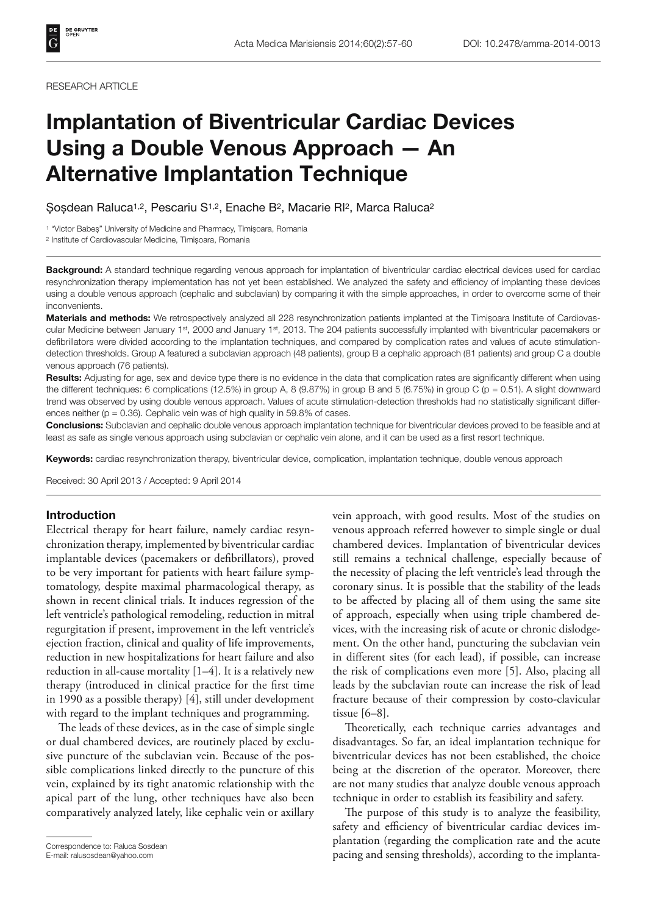#### RESEARCH ARTICLE

# **Implantation of Biventricular Cardiac Devices Using a Double Venous Approach — An Alternative Implantation Technique**

Șoșdean Raluca1,2, Pescariu S1,2, Enache B2, Macarie RI2, Marca Raluca2

1 "Victor Babeș" University of Medicine and Pharmacy, Timișoara, Romania

2 Institute of Cardiovascular Medicine, Timișoara, Romania

**Background:** A standard technique regarding venous approach for implantation of biventricular cardiac electrical devices used for cardiac resynchronization therapy implementation has not yet been established. We analyzed the safety and efficiency of implanting these devices using a double venous approach (cephalic and subclavian) by comparing it with the simple approaches, in order to overcome some of their inconvenients.

**Materials and methods:** We retrospectively analyzed all 228 resynchronization patients implanted at the Timișoara Institute of Cardiovascular Medicine between January 1st, 2000 and January 1st, 2013. The 204 patients successfully implanted with biventricular pacemakers or defibrillators were divided according to the implantation techniques, and compared by complication rates and values of acute stimulationdetection thresholds. Group A featured a subclavian approach (48 patients), group B a cephalic approach (81 patients) and group C a double venous approach (76 patients).

**Results:** Adjusting for age, sex and device type there is no evidence in the data that complication rates are significantly different when using the different techniques: 6 complications (12.5%) in group A, 8 (9.87%) in group B and 5 (6.75%) in group C (p = 0.51). A slight downward trend was observed by using double venous approach. Values of acute stimulation-detection thresholds had no statistically significant differences neither ( $p = 0.36$ ). Cephalic vein was of high quality in 59.8% of cases.

**Conclusions:** Subclavian and cephalic double venous approach implantation technique for biventricular devices proved to be feasible and at least as safe as single venous approach using subclavian or cephalic vein alone, and it can be used as a first resort technique.

**Keywords:** cardiac resynchronization therapy, biventricular device, complication, implantation technique, double venous approach

Received: 30 April 2013 / Accepted: 9 April 2014

## **Introduction**

Electrical therapy for heart failure, namely cardiac resynchronization therapy, implemented by biventricular cardiac implantable devices (pacemakers or defibrillators), proved to be very important for patients with heart failure symptomatology, despite maximal pharmacological therapy, as shown in recent clinical trials. It induces regression of the left ventricle's pathological remodeling, reduction in mitral regurgitation if present, improvement in the left ventricle's ejection fraction, clinical and quality of life improvements, reduction in new hospitalizations for heart failure and also reduction in all-cause mortality [1–4]. It is a relatively new therapy (introduced in clinical practice for the first time in 1990 as a possible therapy) [4], still under development with regard to the implant techniques and programming.

The leads of these devices, as in the case of simple single or dual chambered devices, are routinely placed by exclusive puncture of the subclavian vein. Because of the possible complications linked directly to the puncture of this vein, explained by its tight anatomic relationship with the apical part of the lung, other techniques have also been comparatively analyzed lately, like cephalic vein or axillary

E-mail: ralusosdean@yahoo.com

vein approach, with good results. Most of the studies on venous approach referred however to simple single or dual chambered devices. Implantation of biventricular devices still remains a technical challenge, especially because of the necessity of placing the left ventricle's lead through the coronary sinus. It is possible that the stability of the leads to be affected by placing all of them using the same site of approach, especially when using triple chambered devices, with the increasing risk of acute or chronic dislodgement. On the other hand, puncturing the subclavian vein in different sites (for each lead), if possible, can increase the risk of complications even more [5]. Also, placing all leads by the subclavian route can increase the risk of lead fracture because of their compression by costo-clavicular tissue [6–8].

Theoretically, each technique carries advantages and disadvantages. So far, an ideal implantation technique for biventricular devices has not been established, the choice being at the discretion of the operator. Moreover, there are not many studies that analyze double venous approach technique in order to establish its feasibility and safety.

The purpose of this study is to analyze the feasibility, safety and efficiency of biventricular cardiac devices implantation (regarding the complication rate and the acute Correspondence to: Raluca Sosdean<br>
E-mail: ralusosdean@yahoo.com **bacing and sensing thresholds**), according to the implanta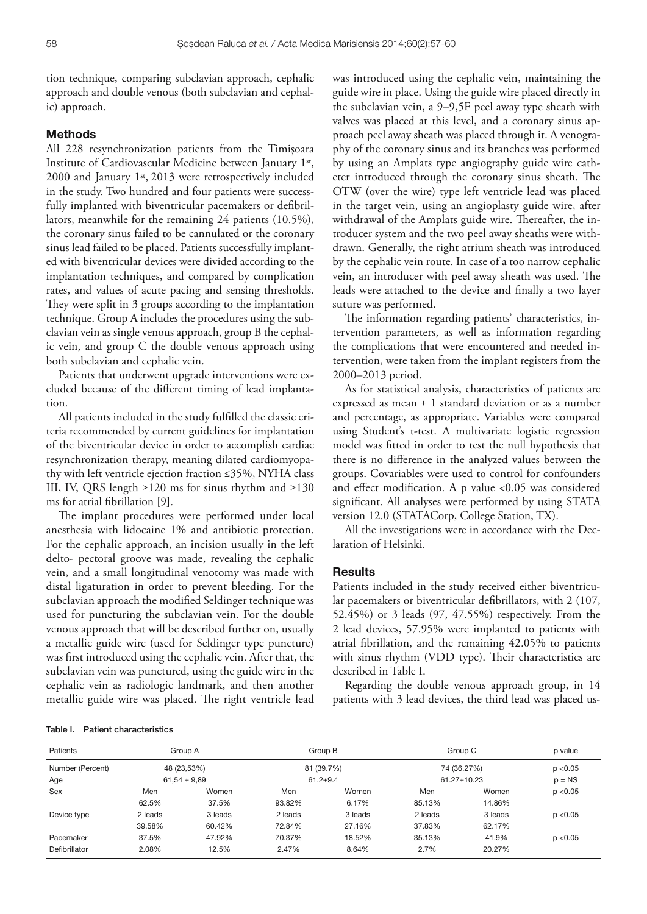tion technique, comparing subclavian approach, cephalic approach and double venous (both subclavian and cephalic) approach.

### **Methods**

All 228 resynchronization patients from the Timișoara Institute of Cardiovascular Medicine between January 1st, 2000 and January 1st, 2013 were retrospectively included in the study. Two hundred and four patients were successfully implanted with biventricular pacemakers or defibrillators, meanwhile for the remaining 24 patients (10.5%), the coronary sinus failed to be cannulated or the coronary sinus lead failed to be placed. Patients successfully implanted with biventricular devices were divided according to the implantation techniques, and compared by complication rates, and values of acute pacing and sensing thresholds. They were split in 3 groups according to the implantation technique. Group A includes the procedures using the subclavian vein as single venous approach, group B the cephalic vein, and group C the double venous approach using both subclavian and cephalic vein.

Patients that underwent upgrade interventions were excluded because of the different timing of lead implantation.

All patients included in the study fulfilled the classic criteria recommended by current guidelines for implantation of the biventricular device in order to accomplish cardiac resynchronization therapy, meaning dilated cardiomyopathy with left ventricle ejection fraction ≤35%, NYHA class III, IV, QRS length ≥120 ms for sinus rhythm and ≥130 ms for atrial fibrillation  $[9]$ .

The implant procedures were performed under local anesthesia with lidocaine 1% and antibiotic protection. For the cephalic approach, an incision usually in the left delto- pectoral groove was made, revealing the cephalic vein, and a small longitudinal venotomy was made with distal ligaturation in order to prevent bleeding. For the subclavian approach the modified Seldinger technique was used for puncturing the subclavian vein. For the double venous approach that will be described further on, usually a metallic guide wire (used for Seldinger type puncture) was first introduced using the cephalic vein. After that, the subclavian vein was punctured, using the guide wire in the cephalic vein as radiologic landmark, and then another metallic guide wire was placed. The right ventricle lead

was introduced using the cephalic vein, maintaining the guide wire in place. Using the guide wire placed directly in the subclavian vein, a 9–9,5F peel away type sheath with valves was placed at this level, and a coronary sinus approach peel away sheath was placed through it. A venography of the coronary sinus and its branches was performed by using an Amplats type angiography guide wire catheter introduced through the coronary sinus sheath. The OTW (over the wire) type left ventricle lead was placed in the target vein, using an angioplasty guide wire, after withdrawal of the Amplats guide wire. Thereafter, the introducer system and the two peel away sheaths were withdrawn. Generally, the right atrium sheath was introduced by the cephalic vein route. In case of a too narrow cephalic vein, an introducer with peel away sheath was used. The leads were attached to the device and finally a two layer suture was performed.

The information regarding patients' characteristics, intervention parameters, as well as information regarding the complications that were encountered and needed intervention, were taken from the implant registers from the 2000–2013 period.

As for statistical analysis, characteristics of patients are expressed as mean ± 1 standard deviation or as a number and percentage, as appropriate. Variables were compared using Student's t-test. A multivariate logistic regression model was fitted in order to test the null hypothesis that there is no difference in the analyzed values between the groups. Covariables were used to control for confounders and effect modification. A p value  $< 0.05$  was considered significant. All analyses were performed by using STATA version 12.0 (STATACorp, College Station, TX).

All the investigations were in accordance with the Declaration of Helsinki.

#### **Results**

Patients included in the study received either biventricular pacemakers or biventricular defibrillators, with 2 (107, 52.45%) or 3 leads (97, 47.55%) respectively. From the 2 lead devices, 57.95% were implanted to patients with atrial fibrillation, and the remaining 42.05% to patients with sinus rhythm (VDD type). Their characteristics are described in Table I.

Regarding the double venous approach group, in 14 patients with 3 lead devices, the third lead was placed us-

Table I. Patient characteristics

| Patients         | Group A<br>48 (23,53%) |                  | Group B |              | Group C |                   | p value  |
|------------------|------------------------|------------------|---------|--------------|---------|-------------------|----------|
| Number (Percent) |                        |                  |         | 81 (39.7%)   |         | 74 (36.27%)       | p < 0.05 |
| Age              |                        | $61,54 \pm 9,89$ |         | $61.2 + 9.4$ |         | $61.27 \pm 10.23$ |          |
| Sex              | Men                    | Women            | Men     | Women        | Men     | Women             | p < 0.05 |
|                  | 62.5%                  | 37.5%            | 93.82%  | 6.17%        | 85.13%  | 14.86%            |          |
| Device type      | 2 leads                | 3 leads          | 2 leads | 3 leads      | 2 leads | 3 leads           | p < 0.05 |
|                  | 39.58%                 | 60.42%           | 72.84%  | 27.16%       | 37.83%  | 62.17%            |          |
| Pacemaker        | 37.5%                  | 47.92%           | 70.37%  | 18.52%       | 35.13%  | 41.9%             | p < 0.05 |
| Defibrillator    | 2.08%                  | 12.5%            | 2.47%   | 8.64%        | 2.7%    | 20.27%            |          |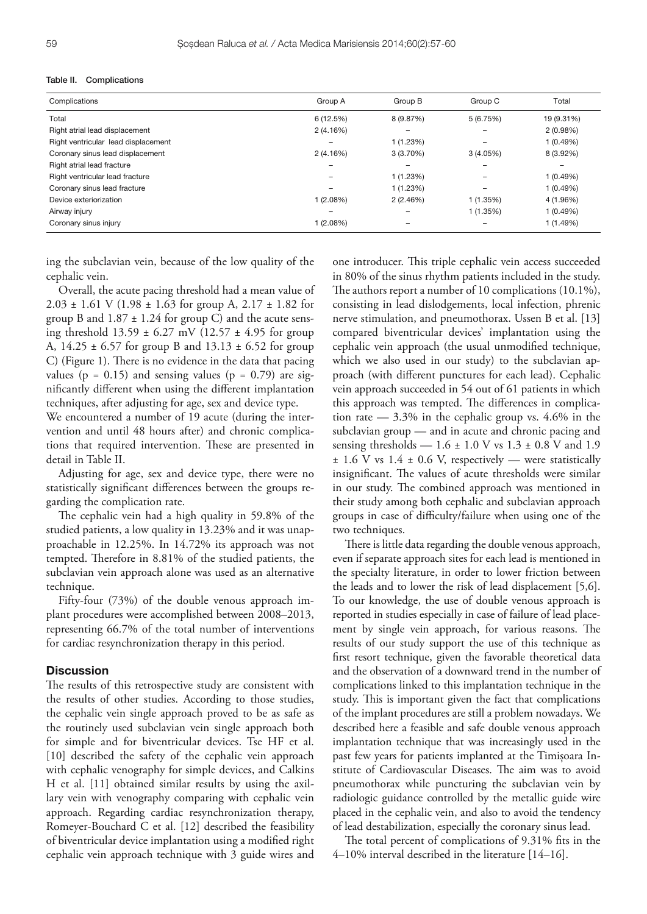| Complications                       | Group A                  | Group B         | Group C  | Total      |
|-------------------------------------|--------------------------|-----------------|----------|------------|
| Total                               | 6(12.5%)                 | 8 (9.87%)       | 5(6.75%) | 19 (9.31%) |
| Right atrial lead displacement      | 2(4.16%)                 | $\qquad \qquad$ |          | 2(0.98%)   |
| Right ventricular lead displacement | $\overline{\phantom{m}}$ | 1 (1.23%)       |          | 1(0.49%)   |
| Coronary sinus lead displacement    | 2(4.16%)                 | $3(3.70\%)$     | 3(4.05%) | 8 (3.92%)  |
| Right atrial lead fracture          |                          |                 |          | -          |
| Right ventricular lead fracture     | $\qquad \qquad$          | 1 (1.23%)       | -        | 1(0.49%)   |
| Coronary sinus lead fracture        |                          | 1 (1.23%)       |          | 1(0.49%)   |
| Device exteriorization              | 1(2.08%)                 | 2(2.46%)        | 1(1.35%) | 4 (1.96%)  |
| Airway injury                       | $\qquad \qquad$          |                 | 1(1.35%) | 1(0.49%)   |
| Coronary sinus injury               | 1(2.08%)                 | -               |          | 1(1.49%)   |

ing the subclavian vein, because of the low quality of the cephalic vein.

Overall, the acute pacing threshold had a mean value of 2.03  $\pm$  1.61 V (1.98  $\pm$  1.63 for group A, 2.17  $\pm$  1.82 for group B and  $1.87 \pm 1.24$  for group C) and the acute sensing threshold  $13.59 \pm 6.27$  mV ( $12.57 \pm 4.95$  for group A,  $14.25 \pm 6.57$  for group B and  $13.13 \pm 6.52$  for group C) (Figure 1). There is no evidence in the data that pacing values ( $p = 0.15$ ) and sensing values ( $p = 0.79$ ) are significantly different when using the different implantation techniques, after adjusting for age, sex and device type.

We encountered a number of 19 acute (during the intervention and until 48 hours after) and chronic complications that required intervention. These are presented in detail in Table II.

Adjusting for age, sex and device type, there were no statistically significant differences between the groups regarding the complication rate.

The cephalic vein had a high quality in 59.8% of the studied patients, a low quality in 13.23% and it was unapproachable in 12.25%. In 14.72% its approach was not tempted. Therefore in 8.81% of the studied patients, the subclavian vein approach alone was used as an alternative technique.

Fifty-four (73%) of the double venous approach implant procedures were accomplished between 2008–2013, representing 66.7% of the total number of interventions for cardiac resynchronization therapy in this period.

# **Discussion**

The results of this retrospective study are consistent with the results of other studies. According to those studies, the cephalic vein single approach proved to be as safe as the routinely used subclavian vein single approach both for simple and for biventricular devices. Tse HF et al. [10] described the safety of the cephalic vein approach with cephalic venography for simple devices, and Calkins H et al. [11] obtained similar results by using the axillary vein with venography comparing with cephalic vein approach. Regarding cardiac resynchronization therapy, Romeyer-Bouchard C et al. [12] described the feasibility of biventricular device implantation using a modified right cephalic vein approach technique with 3 guide wires and

one introducer. This triple cephalic vein access succeeded in 80% of the sinus rhythm patients included in the study. The authors report a number of 10 complications (10.1%), consisting in lead dislodgements, local infection, phrenic nerve stimulation, and pneumothorax. Ussen B et al. [13] compared biventricular devices' implantation using the cephalic vein approach (the usual unmodified technique, which we also used in our study) to the subclavian approach (with different punctures for each lead). Cephalic vein approach succeeded in 54 out of 61 patients in which this approach was tempted. The differences in complication rate — 3.3% in the cephalic group vs. 4.6% in the subclavian group — and in acute and chronic pacing and sensing thresholds —  $1.6 \pm 1.0$  V vs  $1.3 \pm 0.8$  V and  $1.9$  $\pm$  1.6 V vs 1.4  $\pm$  0.6 V, respectively — were statistically insignificant. The values of acute thresholds were similar in our study. The combined approach was mentioned in their study among both cephalic and subclavian approach groups in case of difficulty/failure when using one of the two techniques.

There is little data regarding the double venous approach, even if separate approach sites for each lead is mentioned in the specialty literature, in order to lower friction between the leads and to lower the risk of lead displacement [5,6]. To our knowledge, the use of double venous approach is reported in studies especially in case of failure of lead placement by single vein approach, for various reasons. The results of our study support the use of this technique as first resort technique, given the favorable theoretical data and the observation of a downward trend in the number of complications linked to this implantation technique in the study. This is important given the fact that complications of the implant procedures are still a problem nowadays. We described here a feasible and safe double venous approach implantation technique that was increasingly used in the past few years for patients implanted at the Timișoara Institute of Cardiovascular Diseases. The aim was to avoid pneumothorax while puncturing the subclavian vein by radiologic guidance controlled by the metallic guide wire placed in the cephalic vein, and also to avoid the tendency of lead destabilization, especially the coronary sinus lead.

The total percent of complications of 9.31% fits in the 4–10% interval described in the literature [14–16].